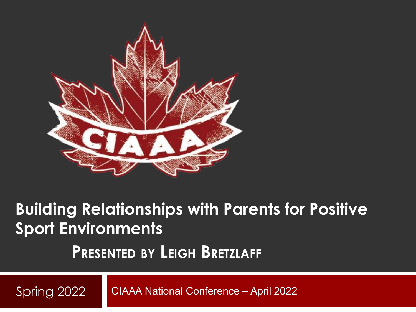

#### **Building Relationships with Parents for Positive Sport Environments**

#### **PRESENTED BY LEIGH BRETZLAFF**

CIAAA National Conference – April 2022 Spring 2022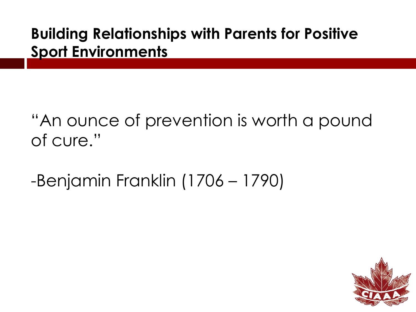#### **Building Relationships with Parents for Positive Sport Environments**

"An ounce of prevention is worth a pound of cure."

-Benjamin Franklin (1706 – 1790)

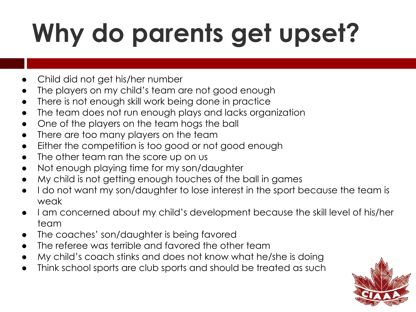# **Why do parents get upset?**

- Child did not get his/her number
- The players on my child's team are not good enough
- There is not enough skill work being done in practice
- The team does not run enough plays and lacks organization
- One of the players on the team hogs the ball
- There are too many players on the team
- Either the competition is too good or not good enough
- The other team ran the score up on us
- Not enough playing time for my son/daughter
- My child is not getting enough touches of the ball in games
- I do not want my son/daughter to lose interest in the sport because the team is weak
- I am concerned about my child's development because the skill level of his/her team
- The coaches' son/daughter is being favored
- The referee was terrible and favored the other team
- My child's coach stinks and does not know what he/she is doing
- Think school sports are club sports and should be treated as such

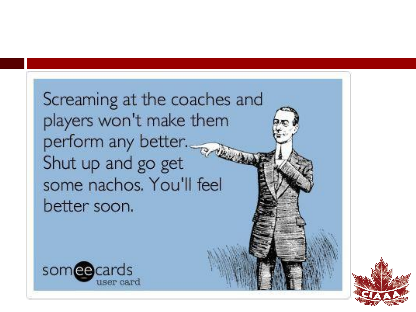Screaming at the coaches and players won't make them perform any better. Shut up and go get some nachos. You'll feel better soon.



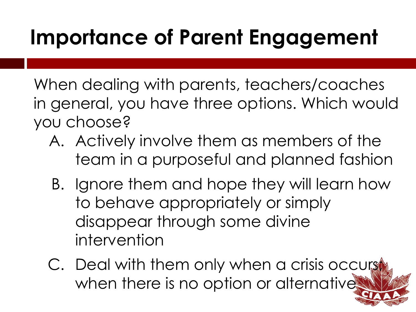#### **Importance of Parent Engagement**

When dealing with parents, teachers/coaches in general, you have three options. Which would you choose?

- A. Actively involve them as members of the team in a purposeful and planned fashion
- B. Ignore them and hope they will learn how to behave appropriately or simply disappear through some divine intervention
- C. Deal with them only when a crisis occurs when there is no option or alternative.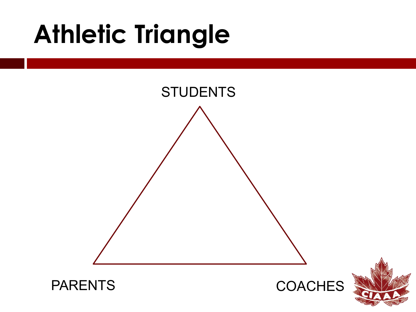### **Athletic Triangle**

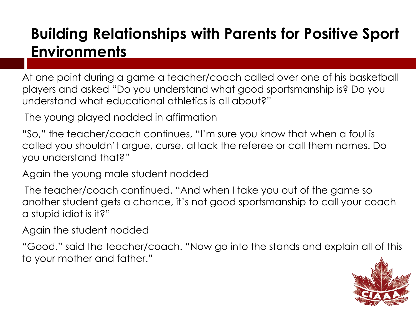#### **Building Relationships with Parents for Positive Sport Environments**

At one point during a game a teacher/coach called over one of his basketball players and asked "Do you understand what good sportsmanship is? Do you understand what educational athletics is all about?"

The young played nodded in affirmation

"So," the teacher/coach continues, "I'm sure you know that when a foul is called you shouldn't argue, curse, attack the referee or call them names. Do you understand that?"

Again the young male student nodded

 The teacher/coach continued. "And when I take you out of the game so another student gets a chance, it's not good sportsmanship to call your coach a stupid idiot is it?"

Again the student nodded

"Good." said the teacher/coach. "Now go into the stands and explain all of this to your mother and father."

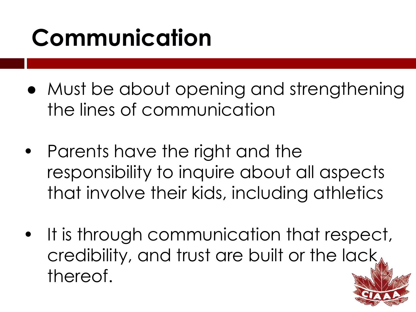### **Communication**

- Must be about opening and strengthening the lines of communication
- **•** Parents have the right and the responsibility to inquire about all aspects that involve their kids, including athletics
- **•** It is through communication that respect, credibility, and trust are built or the lack thereof.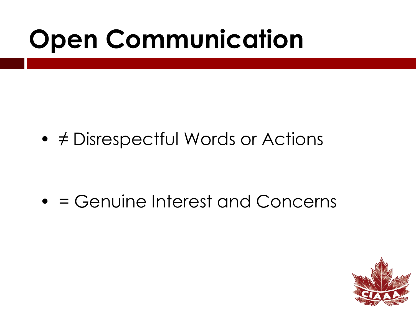### **Open Communication**

• ≠ Disrespectful Words or Actions

• = Genuine Interest and Concerns

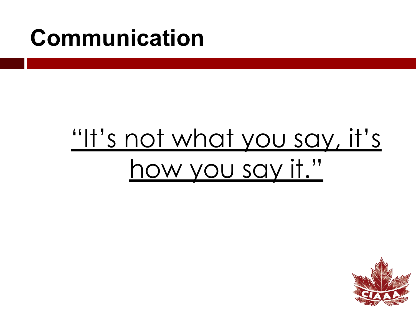### **Communication**

### <u>["It's not what you say, it's](https://www.youtube.com/watch?v=V7HKdEZdBNU&t=11s)</u> [how you say it."](https://www.youtube.com/watch?v=V7HKdEZdBNU&t=11s)

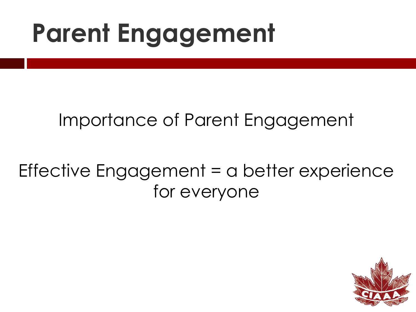### **Parent Engagement**

#### Importance of Parent Engagement

#### Effective Engagement = a better experience for everyone

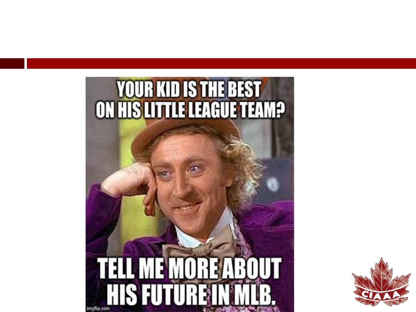

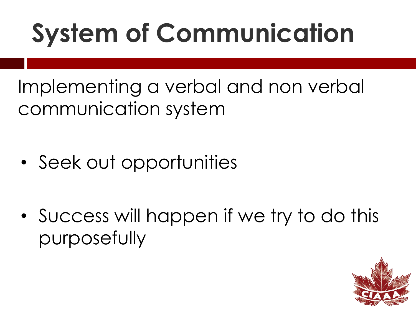# **System of Communication**

Implementing a verbal and non verbal communication system

- Seek out opportunities
- Success will happen if we try to do this purposefully

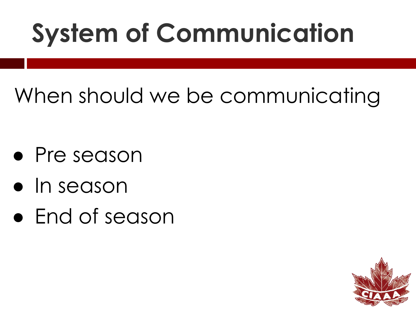## **System of Communication**

#### When should we be communicating

- Pre season
- In season
- End of season

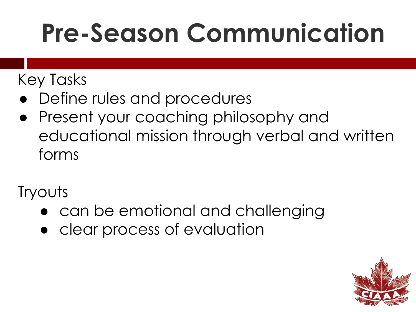## **Pre-Season Communication**

#### Key Tasks

- Define rules and procedures
- Present your coaching philosophy and educational mission through verbal and written forms

**Tryouts** 

- can be emotional and challenging
- clear process of evaluation

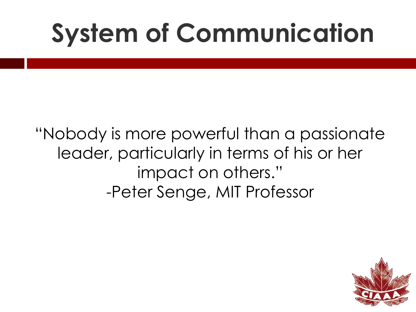## **System of Communication**

"Nobody is more powerful than a passionate leader, particularly in terms of his or her impact on others." -Peter Senge, MIT Professor

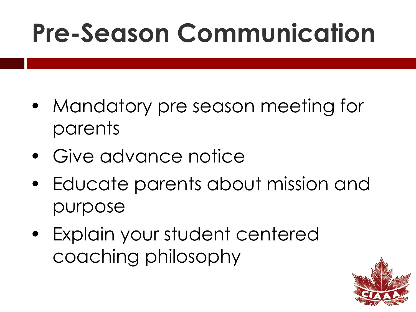## **Pre-Season Communication**

- Mandatory pre season meeting for parents
- Give advance notice
- Educate parents about mission and purpose
- Explain your student centered coaching philosophy

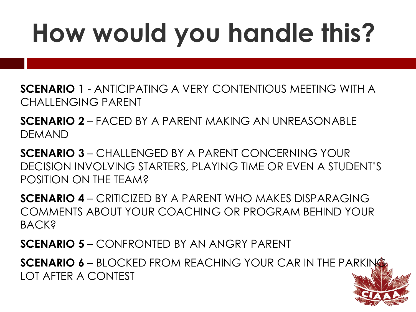# **How would you handle this?**

**SCENARIO 1** - ANTICIPATING A VERY CONTENTIOUS MEETING WITH A CHALLENGING PARENT

**SCENARIO 2** – FACED BY A PARENT MAKING AN UNREASONABLE DEMAND

**SCENARIO 3** – CHALLENGED BY A PARENT CONCERNING YOUR DECISION INVOLVING STARTERS, PLAYING TIME OR EVEN A STUDENT'S POSITION ON THE TEAM?

**SCENARIO 4** – CRITICIZED BY A PARENT WHO MAKES DISPARAGING COMMENTS ABOUT YOUR COACHING OR PROGRAM BEHIND YOUR **BACK?** 

**SCENARIO 5** – CONFRONTED BY AN ANGRY PARENT

**SCENARIO 6** – BLOCKED FROM REACHING YOUR CAR IN THE PARKING LOT AFTER A CONTEST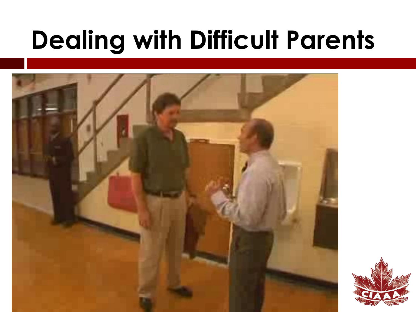## **Dealing with Difficult Parents**

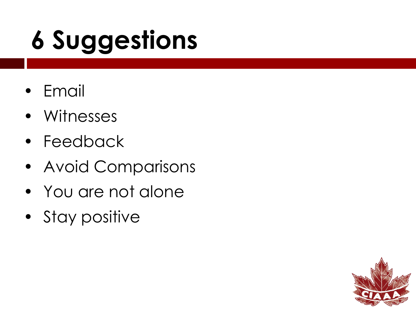# **6 Suggestions**

- Email
- Witnesses
- Feedback
- Avoid Comparisons
- You are not alone
- Stay positive

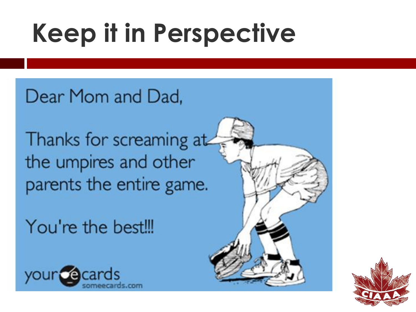## **Keep it in Perspective**

Dear Mom and Dad,

Thanks for screaming at the umpires and other parents the entire game.

You're the best!!!





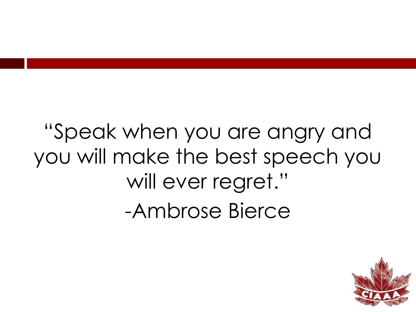"Speak when you are angry and you will make the best speech you will ever regret." -Ambrose Bierce

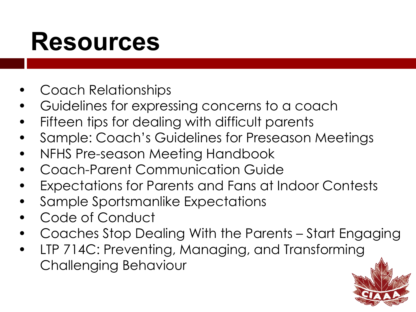### **Resources**

- Coach Relationships
- Guidelines for expressing concerns to a coach
- Fifteen tips for dealing with difficult parents
- Sample: Coach's Guidelines for Preseason Meetings
- NFHS Pre-season Meeting Handbook
- Coach-Parent Communication Guide
- Expectations for Parents and Fans at Indoor Contests
- Sample Sportsmanlike Expectations
- Code of Conduct
- Coaches Stop Dealing With the Parents Start Engaging
- LTP 714C: Preventing, Managing, and Transforming Challenging Behaviour